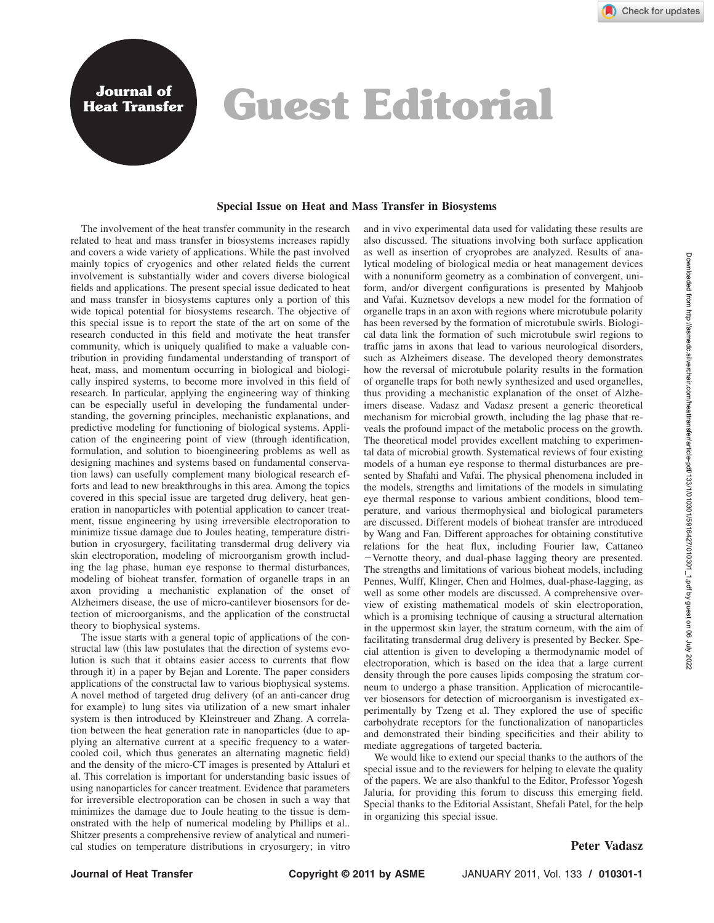## **Heat Transfer Guest Editorial**

## **Special Issue on Heat and Mass Transfer in Biosystems**

The involvement of the heat transfer community in the research related to heat and mass transfer in biosystems increases rapidly and covers a wide variety of applications. While the past involved mainly topics of cryogenics and other related fields the current involvement is substantially wider and covers diverse biological fields and applications. The present special issue dedicated to heat and mass transfer in biosystems captures only a portion of this wide topical potential for biosystems research. The objective of this special issue is to report the state of the art on some of the research conducted in this field and motivate the heat transfer community, which is uniquely qualified to make a valuable contribution in providing fundamental understanding of transport of heat, mass, and momentum occurring in biological and biologically inspired systems, to become more involved in this field of research. In particular, applying the engineering way of thinking can be especially useful in developing the fundamental understanding, the governing principles, mechanistic explanations, and predictive modeling for functioning of biological systems. Application of the engineering point of view through identification, formulation, and solution to bioengineering problems as well as designing machines and systems based on fundamental conservation laws) can usefully complement many biological research efforts and lead to new breakthroughs in this area. Among the topics covered in this special issue are targeted drug delivery, heat generation in nanoparticles with potential application to cancer treatment, tissue engineering by using irreversible electroporation to minimize tissue damage due to Joules heating, temperature distribution in cryosurgery, facilitating transdermal drug delivery via skin electroporation, modeling of microorganism growth including the lag phase, human eye response to thermal disturbances, modeling of bioheat transfer, formation of organelle traps in an axon providing a mechanistic explanation of the onset of Alzheimers disease, the use of micro-cantilever biosensors for detection of microorganisms, and the application of the constructal theory to biophysical systems.

**Journal of**

The issue starts with a general topic of applications of the constructal law (this law postulates that the direction of systems evolution is such that it obtains easier access to currents that flow through it) in a paper by Bejan and Lorente. The paper considers applications of the constructal law to various biophysical systems. A novel method of targeted drug delivery (of an anti-cancer drug for example) to lung sites via utilization of a new smart inhaler system is then introduced by Kleinstreuer and Zhang. A correlation between the heat generation rate in nanoparticles (due to applying an alternative current at a specific frequency to a watercooled coil, which thus generates an alternating magnetic field) and the density of the micro-CT images is presented by Attaluri et al. This correlation is important for understanding basic issues of using nanoparticles for cancer treatment. Evidence that parameters for irreversible electroporation can be chosen in such a way that minimizes the damage due to Joule heating to the tissue is demonstrated with the help of numerical modeling by Phillips et al.. Shitzer presents a comprehensive review of analytical and numerical studies on temperature distributions in cryosurgery; in vitro and in vivo experimental data used for validating these results are also discussed. The situations involving both surface application as well as insertion of cryoprobes are analyzed. Results of analytical modeling of biological media or heat management devices with a nonuniform geometry as a combination of convergent, uniform, and/or divergent configurations is presented by Mahjoob and Vafai. Kuznetsov develops a new model for the formation of organelle traps in an axon with regions where microtubule polarity has been reversed by the formation of microtubule swirls. Biological data link the formation of such microtubule swirl regions to traffic jams in axons that lead to various neurological disorders, such as Alzheimers disease. The developed theory demonstrates how the reversal of microtubule polarity results in the formation of organelle traps for both newly synthesized and used organelles, thus providing a mechanistic explanation of the onset of Alzheimers disease. Vadasz and Vadasz present a generic theoretical mechanism for microbial growth, including the lag phase that reveals the profound impact of the metabolic process on the growth. The theoretical model provides excellent matching to experimental data of microbial growth. Systematical reviews of four existing models of a human eye response to thermal disturbances are presented by Shafahi and Vafai. The physical phenomena included in the models, strengths and limitations of the models in simulating eye thermal response to various ambient conditions, blood temperature, and various thermophysical and biological parameters are discussed. Different models of bioheat transfer are introduced by Wang and Fan. Different approaches for obtaining constitutive relations for the heat flux, including Fourier law, Cattaneo -Vernotte theory, and dual-phase lagging theory are presented. The strengths and limitations of various bioheat models, including Pennes, Wulff, Klinger, Chen and Holmes, dual-phase-lagging, as well as some other models are discussed. A comprehensive overview of existing mathematical models of skin electroporation, which is a promising technique of causing a structural alternation in the uppermost skin layer, the stratum corneum, with the aim of facilitating transdermal drug delivery is presented by Becker. Special attention is given to developing a thermodynamic model of electroporation, which is based on the idea that a large current density through the pore causes lipids composing the stratum corneum to undergo a phase transition. Application of microcantilever biosensors for detection of microorganism is investigated experimentally by Tzeng et al. They explored the use of specific carbohydrate receptors for the functionalization of nanoparticles and demonstrated their binding specificities and their ability to mediate aggregations of targeted bacteria.

We would like to extend our special thanks to the authors of the special issue and to the reviewers for helping to elevate the quality of the papers. We are also thankful to the Editor, Professor Yogesh Jaluria, for providing this forum to discuss this emerging field. Special thanks to the Editorial Assistant, Shefali Patel, for the help in organizing this special issue.

## **Peter Vadasz**